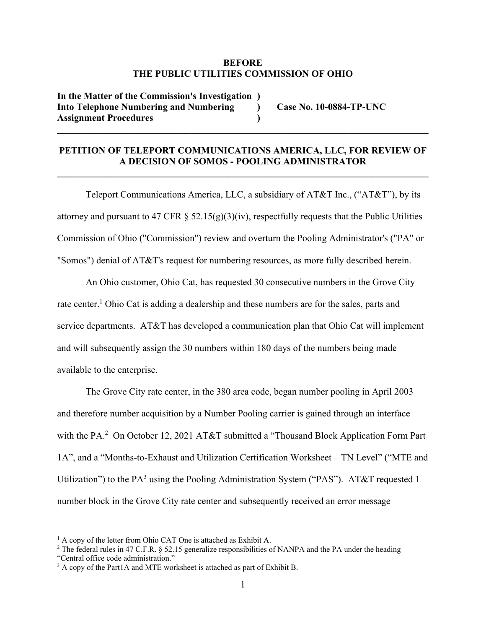#### **BEFORE THE PUBLIC UTILITIES COMMISSION OF OHIO**

**In the Matter of the Commission's Investigation ) Into Telephone Numbering and Numbering ) Case No. 10-0884-TP-UNC Assignment Procedures )** 

#### **PETITION OF TELEPORT COMMUNICATIONS AMERICA, LLC, FOR REVIEW OF A DECISION OF SOMOS - POOLING ADMINISTRATOR**

 $\mathcal{L}_\mathcal{L} = \{ \mathcal{L}_\mathcal{L} = \{ \mathcal{L}_\mathcal{L} = \{ \mathcal{L}_\mathcal{L} = \{ \mathcal{L}_\mathcal{L} = \{ \mathcal{L}_\mathcal{L} = \{ \mathcal{L}_\mathcal{L} = \{ \mathcal{L}_\mathcal{L} = \{ \mathcal{L}_\mathcal{L} = \{ \mathcal{L}_\mathcal{L} = \{ \mathcal{L}_\mathcal{L} = \{ \mathcal{L}_\mathcal{L} = \{ \mathcal{L}_\mathcal{L} = \{ \mathcal{L}_\mathcal{L} = \{ \mathcal{L}_\mathcal{$ 

 $\mathcal{L}_\mathcal{L} = \{ \mathcal{L}_\mathcal{L} = \{ \mathcal{L}_\mathcal{L} = \{ \mathcal{L}_\mathcal{L} = \{ \mathcal{L}_\mathcal{L} = \{ \mathcal{L}_\mathcal{L} = \{ \mathcal{L}_\mathcal{L} = \{ \mathcal{L}_\mathcal{L} = \{ \mathcal{L}_\mathcal{L} = \{ \mathcal{L}_\mathcal{L} = \{ \mathcal{L}_\mathcal{L} = \{ \mathcal{L}_\mathcal{L} = \{ \mathcal{L}_\mathcal{L} = \{ \mathcal{L}_\mathcal{L} = \{ \mathcal{L}_\mathcal{$ 

Teleport Communications America, LLC, a subsidiary of AT&T Inc., ("AT&T"), by its attorney and pursuant to 47 CFR  $\S$  52.15(g)(3)(iv), respectfully requests that the Public Utilities Commission of Ohio ("Commission") review and overturn the Pooling Administrator's ("PA" or "Somos") denial of AT&T's request for numbering resources, as more fully described herein.

An Ohio customer, Ohio Cat, has requested 30 consecutive numbers in the Grove City rate center.<sup>1</sup> Ohio Cat is adding a dealership and these numbers are for the sales, parts and service departments. AT&T has developed a communication plan that Ohio Cat will implement and will subsequently assign the 30 numbers within 180 days of the numbers being made available to the enterprise.

The Grove City rate center, in the 380 area code, began number pooling in April 2003 and therefore number acquisition by a Number Pooling carrier is gained through an interface with the PA.<sup>2</sup> On October 12, 2021 AT&T submitted a "Thousand Block Application Form Part 1A", and a "Months-to-Exhaust and Utilization Certification Worksheet – TN Level" ("MTE and Utilization") to the PA<sup>3</sup> using the Pooling Administration System ("PAS"). AT&T requested 1 number block in the Grove City rate center and subsequently received an error message

<sup>&</sup>lt;sup>1</sup> A copy of the letter from Ohio CAT One is attached as Exhibit A.

<sup>&</sup>lt;sup>2</sup> The federal rules in 47 C.F.R. § 52.15 generalize responsibilities of NANPA and the PA under the heading

<sup>&</sup>quot;Central office code administration."

 $3$  A copy of the Part1A and MTE worksheet is attached as part of Exhibit B.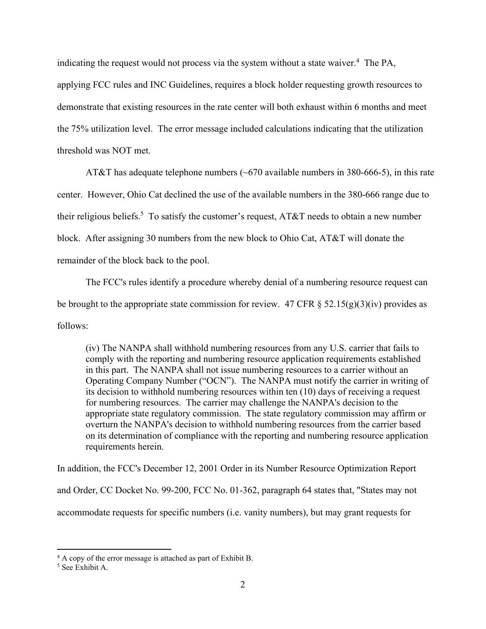indicating the request would not process via the system without a state waiver.<sup>4</sup> The PA, applying FCC rules and INC Guidelines, requires a block holder requesting growth resources to demonstrate that existing resources in the rate center will both exhaust within 6 months and meet the 75% utilization level. The error message included calculations indicating that the utilization threshold was NOT met.

AT&T has adequate telephone numbers  $(\sim 670$  available numbers in 380-666-5), in this rate center. However, Ohio Cat declined the use of the available numbers in the 380-666 range due to their religious beliefs.<sup>5</sup> To satisfy the customer's request, AT&T needs to obtain a new number block. After assigning 30 numbers from the new block to Ohio Cat, AT&T will donate the remainder of the block back to the pool.

The FCC's rules identify a procedure whereby denial of a numbering resource request can be brought to the appropriate state commission for review. 47 CFR  $\S$  52.15(g)(3)(iv) provides as follows:

(iv) The NANPA shall withhold numbering resources from any U.S. carrier that fails to comply with the reporting and numbering resource application requirements established in this part. The NANPA shall not issue numbering resources to a carrier without an Operating Company Number ("OCN"). The NANPA must notify the carrier in writing of its decision to withhold numbering resources within ten (10) days of receiving a request for numbering resources. The carrier may challenge the NANPA's decision to the appropriate state regulatory commission. The state regulatory commission may affirm or overturn the NANPA's decision to withhold numbering resources from the carrier based on its determination of compliance with the reporting and numbering resource application requirements herein.

In addition, the FCC's December 12, 2001 Order in its Number Resource Optimization Report and Order, CC Docket No. 99-200, FCC No. 01-362, paragraph 64 states that, "States may not accommodate requests for specific numbers (i.e. vanity numbers), but may grant requests for

<sup>&</sup>lt;sup>4</sup> A copy of the error message is attached as part of Exhibit B.

<sup>5</sup> See Exhibit A.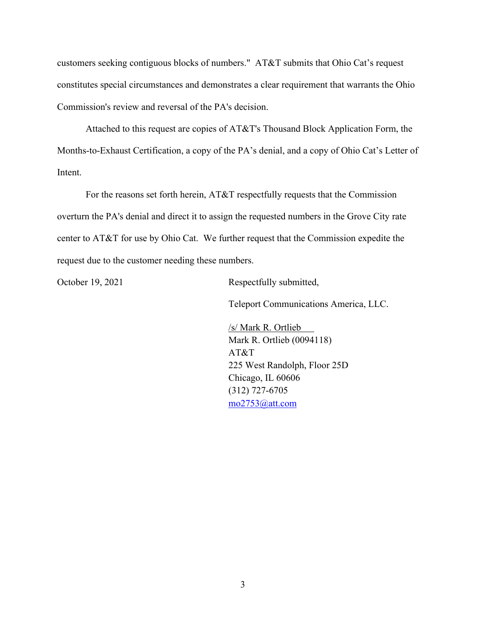customers seeking contiguous blocks of numbers." AT&T submits that Ohio Cat's request constitutes special circumstances and demonstrates a clear requirement that warrants the Ohio Commission's review and reversal of the PA's decision.

Attached to this request are copies of AT&T's Thousand Block Application Form, the Months-to-Exhaust Certification, a copy of the PA's denial, and a copy of Ohio Cat's Letter of Intent.

For the reasons set forth herein, AT&T respectfully requests that the Commission overturn the PA's denial and direct it to assign the requested numbers in the Grove City rate center to AT&T for use by Ohio Cat. We further request that the Commission expedite the request due to the customer needing these numbers.

October 19, 2021 Respectfully submitted,

Teleport Communications America, LLC.

 /s/ Mark R. Ortlieb Mark R. Ortlieb (0094118) AT&T 225 West Randolph, Floor 25D Chicago, IL 60606 (312) 727-6705 mo2753@att.com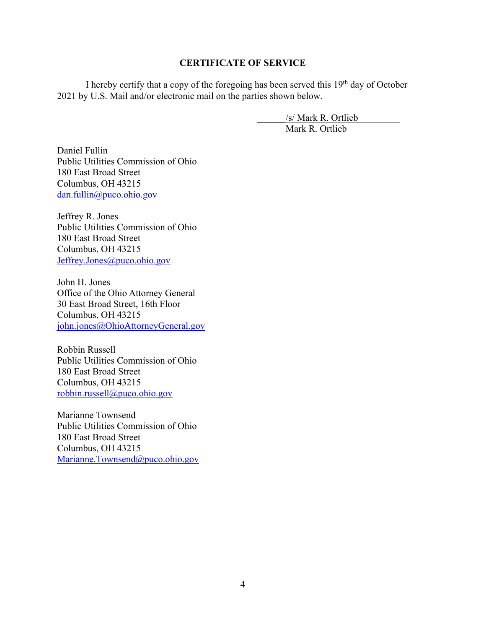#### **CERTIFICATE OF SERVICE**

I hereby certify that a copy of the foregoing has been served this  $19<sup>th</sup>$  day of October 2021 by U.S. Mail and/or electronic mail on the parties shown below.

> /s/ Mark R. Ortlieb Mark R. Ortlieb

Daniel Fullin Public Utilities Commission of Ohio 180 East Broad Street Columbus, OH 43215 dan.fullin@puco.ohio.gov

Jeffrey R. Jones Public Utilities Commission of Ohio 180 East Broad Street Columbus, OH 43215 Jeffrey.Jones@puco.ohio.gov

John H. Jones Office of the Ohio Attorney General 30 East Broad Street, 16th Floor Columbus, OH 43215 john.jones@OhioAttorneyGeneral.gov

Robbin Russell Public Utilities Commission of Ohio 180 East Broad Street Columbus, OH 43215 robbin.russell@puco.ohio.gov

Marianne Townsend Public Utilities Commission of Ohio 180 East Broad Street Columbus, OH 43215 Marianne.Townsend@puco.ohio.gov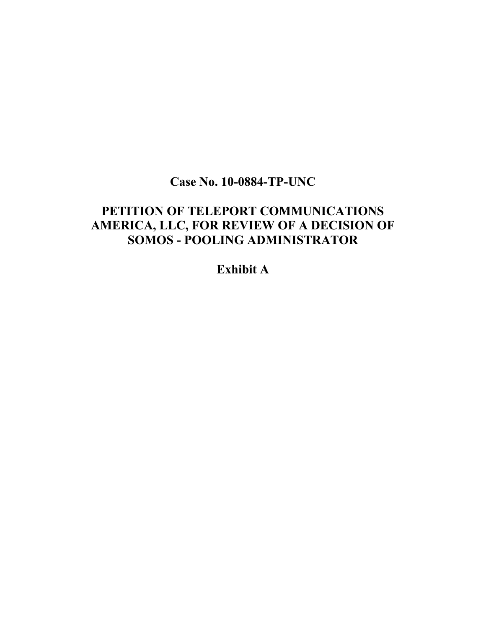### **Case No. 10-0884-TP-UNC**

### **PETITION OF TELEPORT COMMUNICATIONS AMERICA, LLC, FOR REVIEW OF A DECISION OF SOMOS - POOLING ADMINISTRATOR**

### **Exhibit A**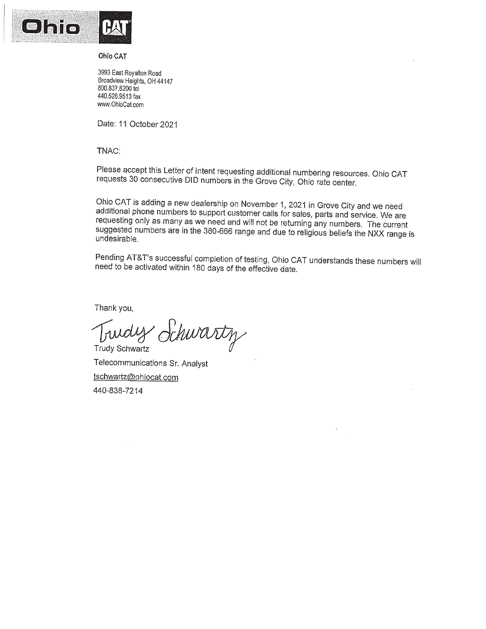

**Ohio CAT** 

3993 East Royalton Road Broadview Heights, OH 44147 800.837.6200 tel 440.526.9513 fax www.OhioCat.com

Date: 11 October 2021

TNAC:

Please accept this Letter of Intent requesting additional numbering resources. Ohio CAT requests 30 consecutive DID numbers in the Grove City, Ohio rate center.

Ohio CAT is adding a new dealership on November 1, 2021 in Grove City and we need additional phone numbers to support customer calls for sales, parts and service. We are requesting only as many as we need and will not be returning any numbers. The current suggested numbers are in the 380-666 range and due to religious beliefs the NXX range is undesirable.

Pending AT&T's successful completion of testing, Ohio CAT understands these numbers will need to be activated within 180 days of the effective date.

Thank you,

Turdy Schwartz **Trudy Schwartz** 

Telecommunications Sr. Analyst tschwartz@ohiocat.com 440-838-7214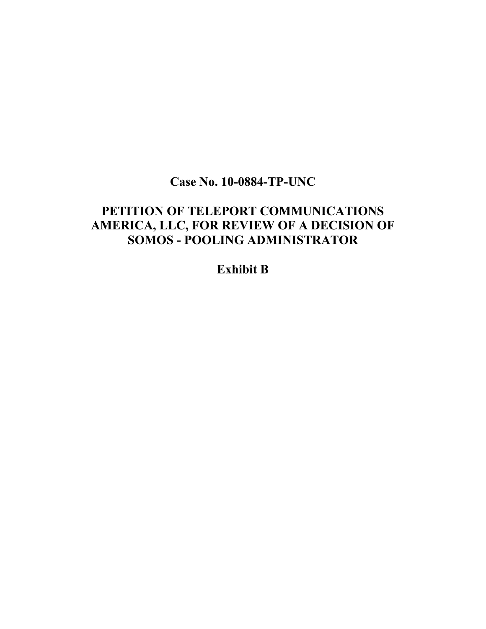## **Case No. 10-0884-TP-UNC**

## **PETITION OF TELEPORT COMMUNICATIONS AMERICA, LLC, FOR REVIEW OF A DECISION OF SOMOS - POOLING ADMINISTRATOR**

### **Exhibit B**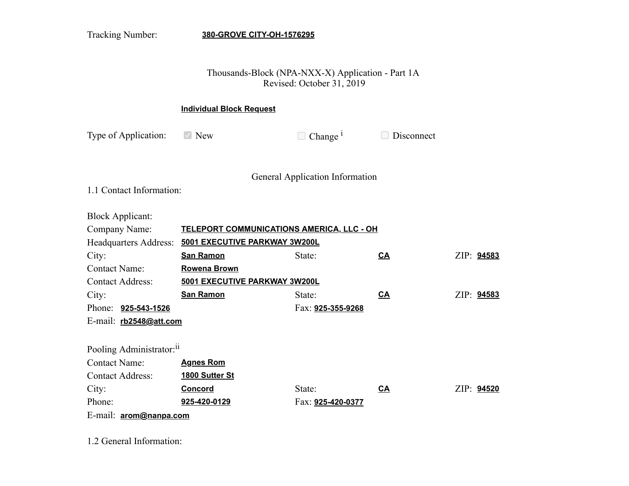Tracking Number: **380-GROVE CITY-OH-1576295**

### Thousands-Block (NPA-NXX-X) Application - Part 1A Revised: October 31, 2019

#### **Individual Block Request**

Type of Application:  $\blacksquare$  New  $\blacksquare$  Change <sup>i</sup>

Disconnect

General Application Information

1.1 Contact Information:

Block Applicant:

| Company Name:                        | TELEPORT COMMUNICATIONS AMERICA, LLC - OH |                   |           |            |  |  |
|--------------------------------------|-------------------------------------------|-------------------|-----------|------------|--|--|
| Headquarters Address:                | 5001 EXECUTIVE PARKWAY 3W200L             |                   |           |            |  |  |
| City:                                | <b>San Ramon</b>                          | State:            | <u>CA</u> | ZIP: 94583 |  |  |
| <b>Contact Name:</b>                 | <b>Rowena Brown</b>                       |                   |           |            |  |  |
| <b>Contact Address:</b>              | 5001 EXECUTIVE PARKWAY 3W200L             |                   |           |            |  |  |
| City:                                | <b>San Ramon</b>                          | State:            | CA        | ZIP: 94583 |  |  |
| Phone: <b>925-543-1526</b>           |                                           | Fax: 925-355-9268 |           |            |  |  |
| E-mail: rb2548@att.com               |                                           |                   |           |            |  |  |
|                                      |                                           |                   |           |            |  |  |
| Pooling Administrator: <sup>11</sup> |                                           |                   |           |            |  |  |
| <b>Contact Name:</b>                 | <b>Agnes Rom</b>                          |                   |           |            |  |  |
| <b>Contact Address:</b>              | 1800 Sutter St                            |                   |           |            |  |  |
| City:                                | <u>Concord</u>                            | State:            | <u>CA</u> | ZIP: 94520 |  |  |
| Phone:                               | 925-420-0129                              | Fax: 925-420-0377 |           |            |  |  |
| E-mail: arom@nanpa.com               |                                           |                   |           |            |  |  |

1.2 General Information: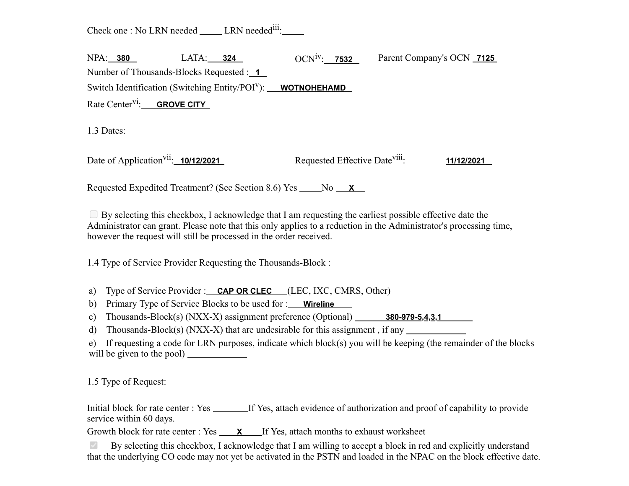Check one : No LRN needed \_\_\_\_\_ LRN needed<sup>iii</sup>:

| <b>NPA: 380</b>                               | LATA: <b>324</b>                                                               | $OCN^{1V}$ : 7532 | Parent Company's OCN 7125 |
|-----------------------------------------------|--------------------------------------------------------------------------------|-------------------|---------------------------|
| Number of Thousands-Blocks Requested : 1      |                                                                                |                   |                           |
|                                               | Switch Identification (Switching Entity/POI <sup>V</sup> ): <b>WOTNOHEHAMD</b> |                   |                           |
| Rate Center <sup>V1</sup> : <b>GROVE CITY</b> |                                                                                |                   |                           |

1.3 Dates:

Date of Application<sup>vii</sup>:  $10/12/2021$ Requested Effective Date<sup>viii</sup>: : **11/12/2021**

Requested Expedited Treatment? (See Section 8.6) Yes No X

 $\Box$  By selecting this checkbox, I acknowledge that I am requesting the earliest possible effective date the Administrator can grant. Please note that this only applies to a reduction in the Administrator's processing time, however the request will still be processed in the order received.

1.4 Type of Service Provider Requesting the Thousands-Block :

a) Type of Service Provider : **CAP OR CLEC** (LEC, IXC, CMRS, Other)

b) Primary Type of Service Blocks to be used for : **Wireline** 

c) Thousands-Block(s) (NXX-X) assignment preference (Optional) **380-979-5,4,3,1**

d) Thousands-Block(s)  $(NXX-X)$  that are undesirable for this assignment, if any

e) If requesting a code for LRN purposes, indicate which block(s) you will be keeping (the remainder of the blocks will be given to the pool)

1.5 Type of Request:

Initial block for rate center : Yes If Yes, attach evidence of authorization and proof of capability to provide service within 60 days.

Growth block for rate center : Yes **X** If Yes, attach months to exhaust worksheet

By selecting this checkbox, I acknowledge that I am willing to accept a block in red and explicitly understand that the underlying CO code may not yet be activated in the PSTN and loaded in the NPAC on the block effective date.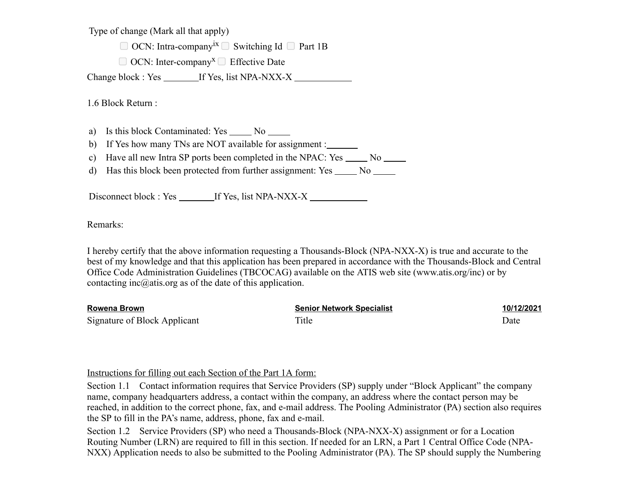Type of change (Mark all that apply)

 $\Box$  OCN: Intra-company<sup>ix</sup>  $\Box$  Switching Id  $\Box$  Part 1B

 $\Box$  OCN: Inter-company<sup>x</sup>  $\Box$  Effective Date

Change block : Yes \_\_\_\_\_\_\_\_ If Yes, list NPA-NXX-X \_\_\_\_\_\_\_\_\_\_\_\_\_\_\_\_\_\_\_\_\_\_\_\_\_\_\_\_\_\_

1.6 Block Return :

a) Is this block Contaminated: Yes  $\_\_\_\_\$  No  $\_\_\_\_\$ 

b) If Yes how many TNs are NOT available for assignment :

c) Have all new Intra SP ports been completed in the NPAC:  $Yes \_ No \_ No \_$ 

d) Has this block been protected from further assignment: Yes \_\_\_\_\_ No \_\_\_\_\_

Disconnect block : Yes \_\_\_\_\_\_\_ If Yes, list NPA-NXX-X \_\_\_\_\_\_\_\_\_\_\_\_\_\_\_\_\_\_\_\_\_\_\_\_\_\_

Remarks:

I hereby certify that the above information requesting a Thousands-Block (NPA-NXX-X) is true and accurate to the best of my knowledge and that this application has been prepared in accordance with the Thousands-Block and Central Office Code Administration Guidelines (TBCOCAG) available on the ATIS web site (www.atis.org/inc) or by contacting inc $@$ atis.org as of the date of this application.

| Rowena Brown                 | <b>Senior Network Specialist</b> | 10/12/2021 |
|------------------------------|----------------------------------|------------|
| Signature of Block Applicant | Title                            | Date       |

#### Instructions for filling out each Section of the Part 1A form:

Section 1.1 Contact information requires that Service Providers (SP) supply under "Block Applicant" the company name, company headquarters address, a contact within the company, an address where the contact person may be reached, in addition to the correct phone, fax, and e-mail address. The Pooling Administrator (PA) section also requires the SP to fill in the PA's name, address, phone, fax and e-mail.

Section 1.2 Service Providers (SP) who need a Thousands-Block (NPA-NXX-X) assignment or for a Location Routing Number (LRN) are required to fill in this section. If needed for an LRN, a Part 1 Central Office Code (NPA-NXX) Application needs to also be submitted to the Pooling Administrator (PA). The SP should supply the Numbering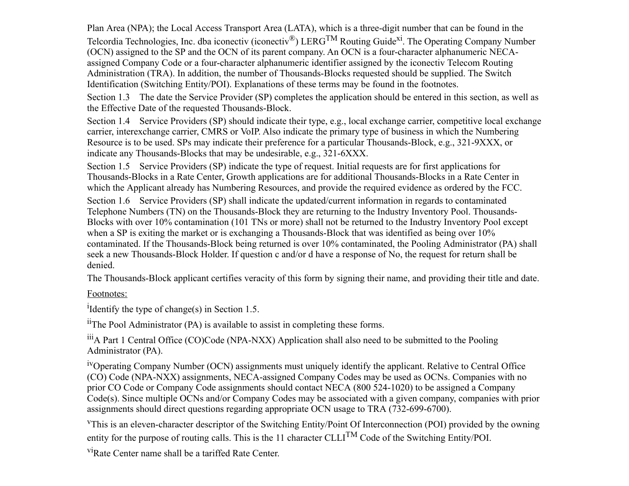Plan Area (NPA); the Local Access Transport Area (LATA), which is a three-digit number that can be found in the Telcordia Technologies, Inc. dba iconectiv (iconectiv<sup>®</sup>) LERG<sup>TM</sup> Routing Guide<sup>xi</sup>. The Operating Company Number (OCN) assigned to the SP and the OCN of its parent company. An OCN is a four-character alphanumeric NECAassigned Company Code or a four-character alphanumeric identifier assigned by the iconectiv Telecom Routing Administration (TRA). In addition, the number of Thousands-Blocks requested should be supplied. The Switch Identification (Switching Entity/POI). Explanations of these terms may be found in the footnotes.

Section 1.3 The date the Service Provider (SP) completes the application should be entered in this section, as well as the Effective Date of the requested Thousands-Block.

Section 1.4 Service Providers (SP) should indicate their type, e.g., local exchange carrier, competitive local exchange carrier, interexchange carrier, CMRS or VoIP. Also indicate the primary type of business in which the Numbering Resource is to be used. SPs may indicate their preference for a particular Thousands-Block, e.g., 321-9XXX, or indicate any Thousands-Blocks that may be undesirable, e.g., 321-6XXX.

Section 1.5 Service Providers (SP) indicate the type of request. Initial requests are for first applications for Thousands-Blocks in a Rate Center, Growth applications are for additional Thousands-Blocks in a Rate Center in which the Applicant already has Numbering Resources, and provide the required evidence as ordered by the FCC.

Section 1.6 Service Providers (SP) shall indicate the updated/current information in regards to contaminated Telephone Numbers (TN) on the Thousands-Block they are returning to the Industry Inventory Pool. Thousands-Blocks with over 10% contamination (101 TNs or more) shall not be returned to the Industry Inventory Pool except when a SP is exiting the market or is exchanging a Thousands-Block that was identified as being over 10% contaminated. If the Thousands-Block being returned is over 10% contaminated, the Pooling Administrator (PA) shall seek a new Thousands-Block Holder. If question c and/or d have a response of No, the request for return shall be denied.

The Thousands-Block applicant certifies veracity of this form by signing their name, and providing their title and date.

#### Footnotes:

<sup>i</sup>Identify the type of change(s) in Section 1.5.

 $\mu$ <sup>ii</sup>The Pool Administrator (PA) is available to assist in completing these forms.

iiiA Part 1 Central Office (CO)Code (NPA-NXX) Application shall also need to be submitted to the Pooling Administrator (PA).

ivOperating Company Number (OCN) assignments must uniquely identify the applicant. Relative to Central Office (CO) Code (NPA-NXX) assignments, NECA-assigned Company Codes may be used as OCNs. Companies with no prior CO Code or Company Code assignments should contact NECA (800 524-1020) to be assigned a Company Code(s). Since multiple OCNs and/or Company Codes may be associated with a given company, companies with prior assignments should direct questions regarding appropriate OCN usage to TRA (732-699-6700).

<sup>v</sup>This is an eleven-character descriptor of the Switching Entity/Point Of Interconnection (POI) provided by the owning entity for the purpose of routing calls. This is the 11 character CLLI<sup>TM</sup> Code of the Switching Entity/POI.

<sup>vi</sup>Rate Center name shall be a tariffed Rate Center.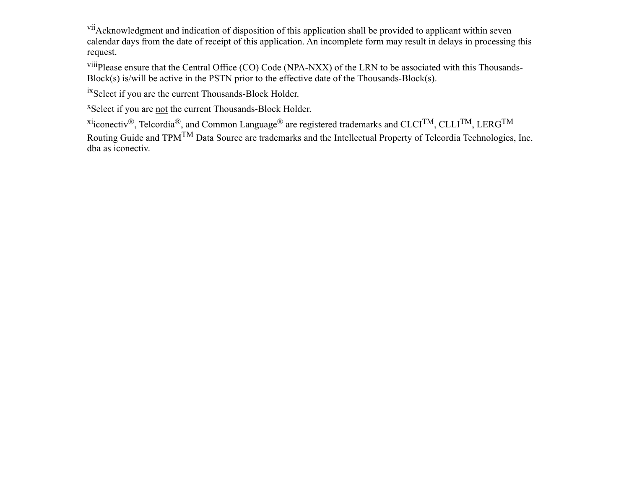vii Acknowledgment and indication of disposition of this application shall be provided to applicant within seven calendar days from the date of receipt of this application. An incomplete form may result in delays in processing this request.

viiiPlease ensure that the Central Office (CO) Code (NPA-NXX) of the LRN to be associated with this Thousands-Block(s) is/will be active in the PSTN prior to the effective date of the Thousands-Block(s).

ixSelect if you are the current Thousands-Block Holder.

<sup>x</sup>Select if you are not the current Thousands-Block Holder.

<sup>xi</sup>iconectiv®, Telcordia®, and Common Language® are registered trademarks and CLCI<sup>TM</sup>, CLLI<sup>TM</sup>, LERG<sup>TM</sup> Routing Guide and TPM<sup>TM</sup> Data Source are trademarks and the Intellectual Property of Telcordia Technologies, Inc. dba as iconectiv.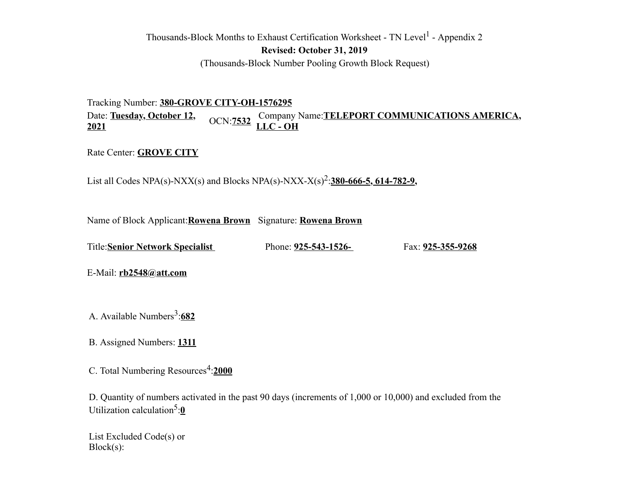### Thousands-Block Months to Exhaust Certification Worksheet - TN Level<sup>1</sup> - Appendix 2 **Revised: October 31, 2019** (Thousands-Block Number Pooling Growth Block Request)

Tracking Number: **380-GROVE CITY-OH-1576295** Date: **Tuesday, October 12,** Date: <u>Tuesday, October 12, Company Name:TELEPORT COMMUNICATIONS AMERICA, 2021</u>

Rate Center: **GROVE CITY**

List all Codes NPA(s)-NXX(s) and Blocks NPA(s)-NXX-X(s)<sup>2</sup>:380-666-5, 614-782-9,

Name of Block Applicant:**Rowena Brown** Signature: **Rowena Brown**

Title:**Senior Network Specialist** Phone: **925-543-1526-** Fax: **925-355-9268**

E-Mail: **rb2548@att.com**

A. Available Numbers<sup>3</sup>:682

B. Assigned Numbers: **1311**

C. Total Numbering Resources<sup>4</sup>:2000

D. Quantity of numbers activated in the past 90 days (increments of 1,000 or 10,000) and excluded from the Utilization calculation<sup>5</sup>:0

List Excluded Code(s) or Block(s):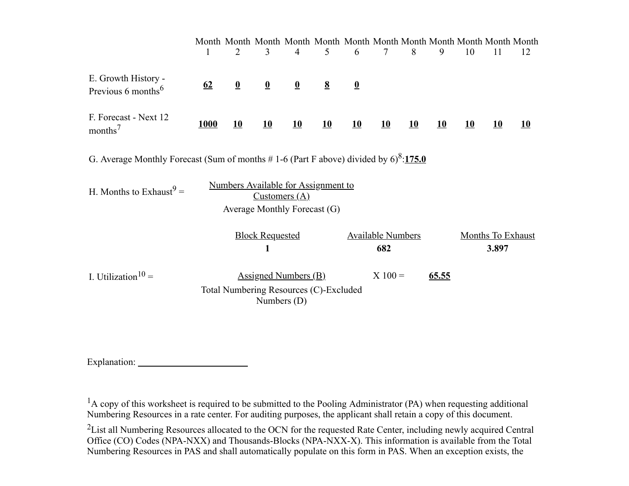|                                                                                                   | 1           | 2                       | 3                                            | $\overline{4}$          | Month Month Month Month Month Month Month Month Month Month Month<br>5 | 6                       | $\tau$                          | 8  | 9     | 10 | 11                                | 12 |
|---------------------------------------------------------------------------------------------------|-------------|-------------------------|----------------------------------------------|-------------------------|------------------------------------------------------------------------|-------------------------|---------------------------------|----|-------|----|-----------------------------------|----|
| E. Growth History -<br>Previous 6 months $6 \text{$                                               | 62          | $\overline{\mathbf{0}}$ | $\overline{\mathbf{0}}$                      | $\overline{\mathbf{0}}$ | $\underline{8}$                                                        | $\overline{\mathbf{0}}$ |                                 |    |       |    |                                   |    |
| F. Forecast - Next 12<br>$months^7$                                                               | <b>1000</b> | <u>10</u>               | 10                                           | <u>10</u>               | 10                                                                     | <u>10</u>               | 10                              | 10 | 10    | 10 | 10                                | 10 |
| G. Average Monthly Forecast (Sum of months #1-6 (Part F above) divided by $6$ <sup>8</sup> :175.0 |             |                         |                                              |                         |                                                                        |                         |                                 |    |       |    |                                   |    |
| H. Months to Exhaust <sup>9</sup> =                                                               |             |                         | Customers(A)<br>Average Monthly Forecast (G) |                         | Numbers Available for Assignment to                                    |                         |                                 |    |       |    |                                   |    |
|                                                                                                   |             |                         | <b>Block Requested</b><br>1                  |                         |                                                                        |                         | <b>Available Numbers</b><br>682 |    |       |    | <b>Months To Exhaust</b><br>3.897 |    |
| I. Utilization <sup>10</sup> =                                                                    |             |                         | Assigned Numbers $(B)$<br>Numbers $(D)$      |                         | Total Numbering Resources (C)-Excluded                                 |                         | $X 100 =$                       |    | 65.55 |    |                                   |    |

Explanation:

<sup>1</sup>A copy of this worksheet is required to be submitted to the Pooling Administrator (PA) when requesting additional Numbering Resources in a rate center. For auditing purposes, the applicant shall retain a copy of this document.

<sup>2</sup>List all Numbering Resources allocated to the OCN for the requested Rate Center, including newly acquired Central Office (CO) Codes (NPA-NXX) and Thousands-Blocks (NPA-NXX-X). This information is available from the Total Numbering Resources in PAS and shall automatically populate on this form in PAS. When an exception exists, the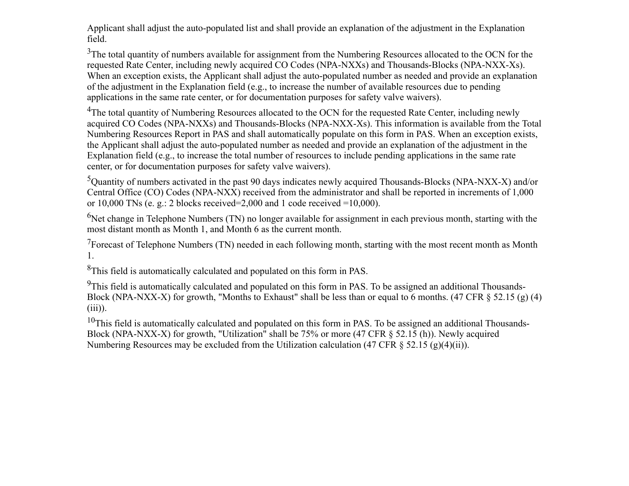Applicant shall adjust the auto-populated list and shall provide an explanation of the adjustment in the Explanation field.

<sup>3</sup>The total quantity of numbers available for assignment from the Numbering Resources allocated to the OCN for the requested Rate Center, including newly acquired CO Codes (NPA-NXXs) and Thousands-Blocks (NPA-NXX-Xs). When an exception exists, the Applicant shall adjust the auto-populated number as needed and provide an explanation of the adjustment in the Explanation field (e.g., to increase the number of available resources due to pending applications in the same rate center, or for documentation purposes for safety valve waivers).

<sup>4</sup>The total quantity of Numbering Resources allocated to the OCN for the requested Rate Center, including newly acquired CO Codes (NPA-NXXs) and Thousands-Blocks (NPA-NXX-Xs). This information is available from the Total Numbering Resources Report in PAS and shall automatically populate on this form in PAS. When an exception exists, the Applicant shall adjust the auto-populated number as needed and provide an explanation of the adjustment in the Explanation field (e.g., to increase the total number of resources to include pending applications in the same rate center, or for documentation purposes for safety valve waivers).

<sup>5</sup>Quantity of numbers activated in the past 90 days indicates newly acquired Thousands-Blocks (NPA-NXX-X) and/or Central Office (CO) Codes (NPA-NXX) received from the administrator and shall be reported in increments of 1,000 or 10,000 TNs (e. g.: 2 blocks received=2,000 and 1 code received =10,000).

<sup>6</sup>Net change in Telephone Numbers (TN) no longer available for assignment in each previous month, starting with the most distant month as Month 1, and Month 6 as the current month.

 $7$ Forecast of Telephone Numbers (TN) needed in each following month, starting with the most recent month as Month 1.

<sup>8</sup>This field is automatically calculated and populated on this form in PAS.

<sup>9</sup>This field is automatically calculated and populated on this form in PAS. To be assigned an additional Thousands-Block (NPA-NXX-X) for growth, "Months to Exhaust" shall be less than or equal to 6 months. (47 CFR § 52.15 (g) (4)  $(iii)$ ).

 $10$ This field is automatically calculated and populated on this form in PAS. To be assigned an additional Thousands-Block (NPA-NXX-X) for growth, "Utilization" shall be 75% or more (47 CFR § 52.15 (h)). Newly acquired Numbering Resources may be excluded from the Utilization calculation (47 CFR  $\S$  52.15 (g)(4)(ii)).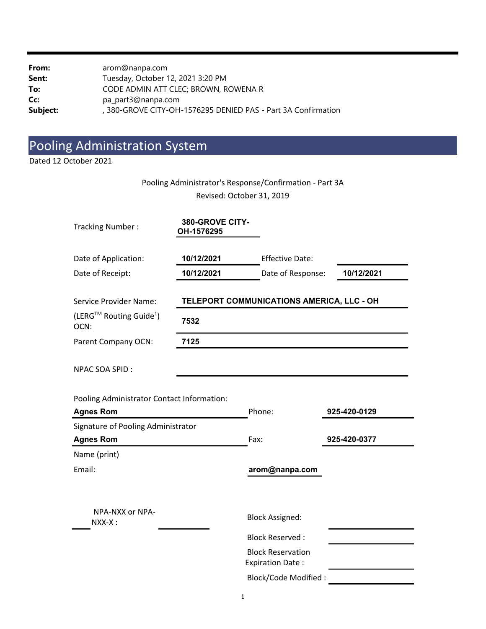| From:    | arom@nanpa.com                                              |
|----------|-------------------------------------------------------------|
| Sent:    | Tuesday, October 12, 2021 3:20 PM                           |
| To:      | CODE ADMIN ATT CLEC; BROWN, ROWENA R                        |
| Cc:      | pa_part3@nanpa.com                                          |
| Subject: | 380-GROVE CITY-OH-1576295 DENIED PAS - Part 3A Confirmation |

# Pooling Administration System

Dated 12 October 2021

### Pooling Administrator's Response/Confirmation ‐ Part 3A Revised: October 31, 2019

| <b>Tracking Number:</b>                     | 380-GROVE CITY-<br>OH-1576295 |                                                     |              |
|---------------------------------------------|-------------------------------|-----------------------------------------------------|--------------|
| Date of Application:                        | 10/12/2021                    | <b>Effective Date:</b>                              |              |
| Date of Receipt:                            | 10/12/2021                    | Date of Response:                                   | 10/12/2021   |
| Service Provider Name:                      |                               | TELEPORT COMMUNICATIONS AMERICA, LLC - OH           |              |
| (LERG™ Routing Guide <sup>1</sup> )<br>OCN: | 7532                          |                                                     |              |
| Parent Company OCN:                         | 7125                          |                                                     |              |
| <b>NPAC SOA SPID:</b>                       |                               |                                                     |              |
| Pooling Administrator Contact Information:  |                               |                                                     |              |
| <b>Agnes Rom</b>                            |                               | Phone:                                              | 925-420-0129 |
| Signature of Pooling Administrator          |                               |                                                     |              |
| <b>Agnes Rom</b>                            |                               | Fax:                                                | 925-420-0377 |
| Name (print)                                |                               |                                                     |              |
| Email:                                      |                               | arom@nanpa.com                                      |              |
| NPA-NXX or NPA-<br>NXX-X:                   |                               | <b>Block Assigned:</b>                              |              |
|                                             |                               | <b>Block Reserved:</b>                              |              |
|                                             |                               | <b>Block Reservation</b><br><b>Expiration Date:</b> |              |
|                                             |                               | <b>Block/Code Modified:</b>                         |              |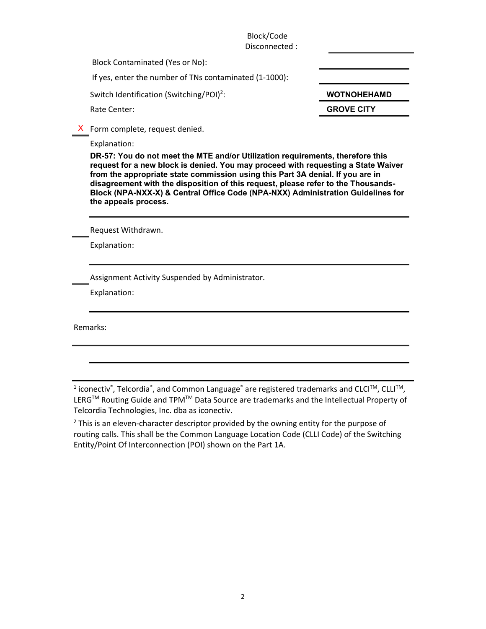Block/Code Disconnected :

Block Contaminated (Yes or No):

If yes, enter the number of TNs contaminated (1‐1000): 

Switch Identification (Switching/POI)<sup>2</sup>:

:  **WOTNOHEHAMD** 

Rate Center: **BROVE CITY GROVE CITY** 

X Form complete, request denied.

Explanation:

**DR-57: You do not meet the MTE and/or Utilization requirements, therefore this request for a new block is denied. You may proceed with requesting a State Waiver from the appropriate state commission using this Part 3A denial. If you are in disagreement with the disposition of this request, please refer to the Thousands-Block (NPA-NXX-X) & Central Office Code (NPA-NXX) Administration Guidelines for the appeals process.** 

Request Withdrawn.

Explanation:

Assignment Activity Suspended by Administrator.

Explanation:

Remarks:

 $^1$  iconectiv $\degree$ , Telcordia $\degree$ , and Common Language $\degree$  are registered trademarks and CLCI™, CLLI™, LERG<sup>™</sup> Routing Guide and TPM<sup>™</sup> Data Source are trademarks and the Intellectual Property of Telcordia Technologies, Inc. dba as iconectiv.

 $2$  This is an eleven-character descriptor provided by the owning entity for the purpose of routing calls. This shall be the Common Language Location Code (CLLI Code) of the Switching Entity/Point Of Interconnection (POI) shown on the Part 1A.